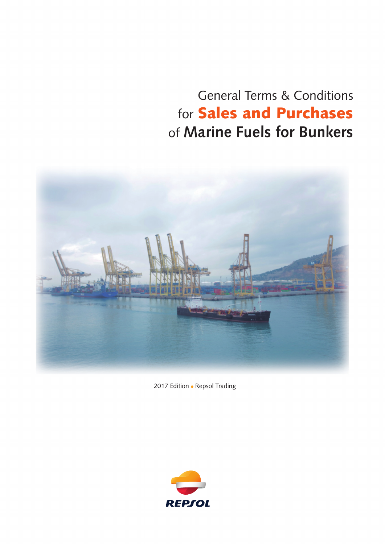## General Terms & Conditions for Sales and Purchases of **Marine Fuels for Bunkers**



2017 Edition . Repsol Trading

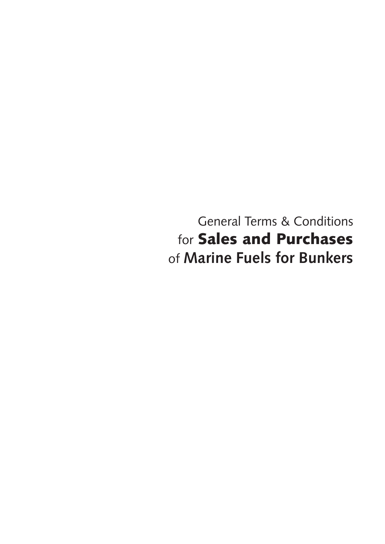General Terms & Conditions for Sales and Purchases of **Marine Fuels for Bunkers**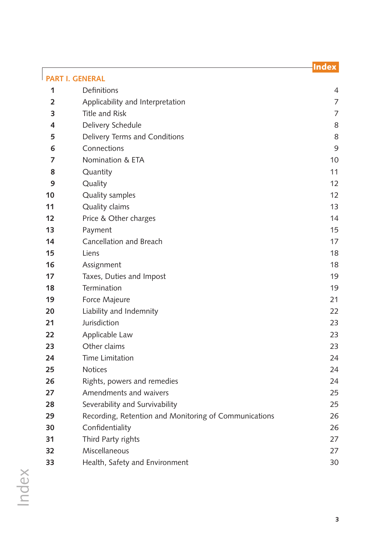# [Definitions](#page-3-0) 4 **2** [Applicability and Interpretation](#page-6-0) **7** Applicability and  $\frac{1}{2}$ [Title and Risk](#page-6-0) 7

Index

| 4  | Delivery Schedule                                     | 8  |
|----|-------------------------------------------------------|----|
| 5  | Delivery Terms and Conditions                         | 8  |
| 6  | Connections                                           | 9  |
| 7  | Nomination & ETA                                      | 10 |
| 8  | Quantity                                              | 11 |
| 9  | Quality                                               | 12 |
| 10 | Quality samples                                       | 12 |
| 11 | Quality claims                                        | 13 |
| 12 | Price & Other charges                                 | 14 |
| 13 | Payment                                               | 15 |
| 14 | Cancellation and Breach                               | 17 |
| 15 | Liens                                                 | 18 |
| 16 | Assignment                                            | 18 |
| 17 | Taxes, Duties and Impost                              | 19 |
| 18 | Termination                                           | 19 |
| 19 | Force Majeure                                         | 21 |
| 20 | Liability and Indemnity                               | 22 |
| 21 | Jurisdiction                                          | 23 |
| 22 | Applicable Law                                        | 23 |
| 23 | Other claims                                          | 23 |
| 24 | Time Limitation                                       | 24 |
| 25 | <b>Notices</b>                                        | 24 |
| 26 | Rights, powers and remedies                           | 24 |
| 27 | Amendments and waivers                                | 25 |
| 28 | Severability and Survivability                        | 25 |
| 29 | Recording, Retention and Monitoring of Communications | 26 |
| 30 | Confidentiality                                       | 26 |
| 31 | Third Party rights                                    | 27 |
| 32 | Miscellaneous                                         | 27 |
| 33 | Health, Safety and Environment                        | 30 |

<span id="page-2-0"></span>**[PART I. GENERAL](#page-3-0)**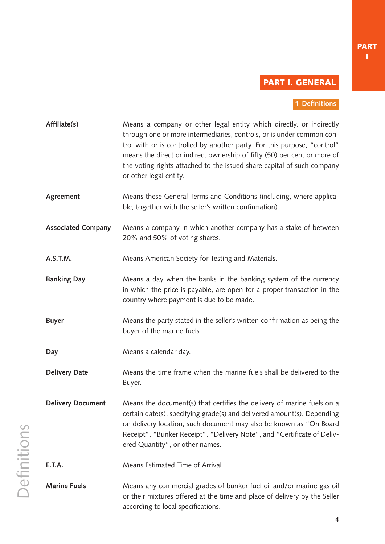### PART I. GENERAL

|  | 1 Definitions |  |
|--|---------------|--|
|  |               |  |

<span id="page-3-0"></span>

| Affiliate(s)              | Means a company or other legal entity which directly, or indirectly<br>through one or more intermediaries, controls, or is under common con-<br>trol with or is controlled by another party. For this purpose, "control"<br>means the direct or indirect ownership of fifty (50) per cent or more of<br>the voting rights attached to the issued share capital of such company<br>or other legal entity. |
|---------------------------|----------------------------------------------------------------------------------------------------------------------------------------------------------------------------------------------------------------------------------------------------------------------------------------------------------------------------------------------------------------------------------------------------------|
| Agreement                 | Means these General Terms and Conditions (including, where applica-<br>ble, together with the seller's written confirmation).                                                                                                                                                                                                                                                                            |
| <b>Associated Company</b> | Means a company in which another company has a stake of between<br>20% and 50% of voting shares.                                                                                                                                                                                                                                                                                                         |
| A.S.T.M.                  | Means American Society for Testing and Materials.                                                                                                                                                                                                                                                                                                                                                        |
| <b>Banking Day</b>        | Means a day when the banks in the banking system of the currency<br>in which the price is payable, are open for a proper transaction in the<br>country where payment is due to be made.                                                                                                                                                                                                                  |
| <b>Buyer</b>              | Means the party stated in the seller's written confirmation as being the<br>buyer of the marine fuels.                                                                                                                                                                                                                                                                                                   |
| Day                       | Means a calendar day.                                                                                                                                                                                                                                                                                                                                                                                    |
| <b>Delivery Date</b>      | Means the time frame when the marine fuels shall be delivered to the<br>Buyer.                                                                                                                                                                                                                                                                                                                           |
| <b>Delivery Document</b>  | Means the document(s) that certifies the delivery of marine fuels on a<br>certain date(s), specifying grade(s) and delivered amount(s). Depending<br>on delivery location, such document may also be known as "On Board<br>Receipt", "Bunker Receipt", "Delivery Note", and "Certificate of Deliv-<br>ered Quantity", or other names.                                                                    |
| E.T.A.                    | Means Estimated Time of Arrival.                                                                                                                                                                                                                                                                                                                                                                         |
| <b>Marine Fuels</b>       | Means any commercial grades of bunker fuel oil and/or marine gas oil<br>or their mixtures offered at the time and place of delivery by the Seller<br>according to local specifications.                                                                                                                                                                                                                  |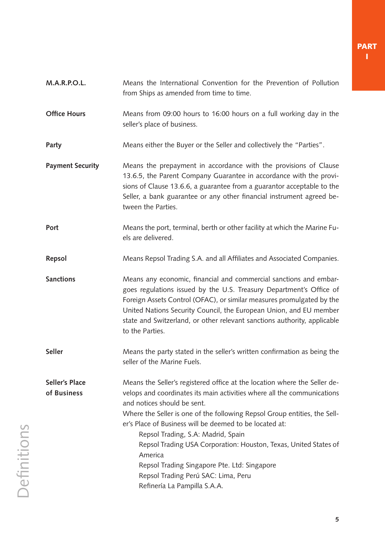| <b>M.A.R.P.O.L.</b>                  | Means the International Convention for the Prevention of Pollution<br>from Ships as amended from time to time.                                                                                                                                                                                                                                                                                                                                                                                                                                                          |
|--------------------------------------|-------------------------------------------------------------------------------------------------------------------------------------------------------------------------------------------------------------------------------------------------------------------------------------------------------------------------------------------------------------------------------------------------------------------------------------------------------------------------------------------------------------------------------------------------------------------------|
| <b>Office Hours</b>                  | Means from 09:00 hours to 16:00 hours on a full working day in the<br>seller's place of business.                                                                                                                                                                                                                                                                                                                                                                                                                                                                       |
| Party                                | Means either the Buyer or the Seller and collectively the "Parties".                                                                                                                                                                                                                                                                                                                                                                                                                                                                                                    |
| <b>Payment Security</b>              | Means the prepayment in accordance with the provisions of Clause<br>13.6.5, the Parent Company Guarantee in accordance with the provi-<br>sions of Clause 13.6.6, a guarantee from a guarantor acceptable to the<br>Seller, a bank guarantee or any other financial instrument agreed be-<br>tween the Parties.                                                                                                                                                                                                                                                         |
| Port                                 | Means the port, terminal, berth or other facility at which the Marine Fu-<br>els are delivered.                                                                                                                                                                                                                                                                                                                                                                                                                                                                         |
| <b>Repsol</b>                        | Means Repsol Trading S.A. and all Affiliates and Associated Companies.                                                                                                                                                                                                                                                                                                                                                                                                                                                                                                  |
| <b>Sanctions</b>                     | Means any economic, financial and commercial sanctions and embar-<br>goes regulations issued by the U.S. Treasury Department's Office of<br>Foreign Assets Control (OFAC), or similar measures promulgated by the<br>United Nations Security Council, the European Union, and EU member<br>state and Switzerland, or other relevant sanctions authority, applicable<br>to the Parties.                                                                                                                                                                                  |
| <b>Seller</b>                        | Means the party stated in the seller's written confirmation as being the<br>seller of the Marine Fuels.                                                                                                                                                                                                                                                                                                                                                                                                                                                                 |
| <b>Seller's Place</b><br>of Business | Means the Seller's registered office at the location where the Seller de-<br>velops and coordinates its main activities where all the communications<br>and notices should be sent.<br>Where the Seller is one of the following Repsol Group entities, the Sell-<br>er's Place of Business will be deemed to be located at:<br>Repsol Trading, S.A: Madrid, Spain<br>Repsol Trading USA Corporation: Houston, Texas, United States of<br>America<br>Repsol Trading Singapore Pte. Ltd: Singapore<br>Repsol Trading Perú SAC: Lima, Peru<br>Refinería La Pampilla S.A.A. |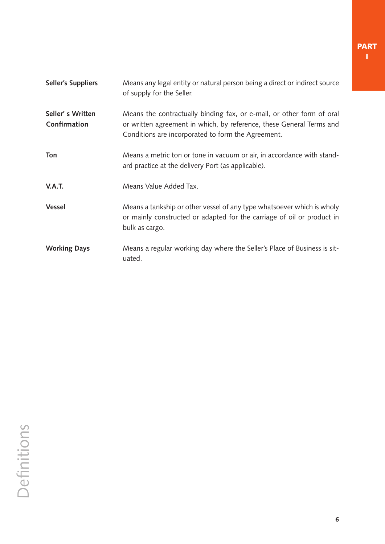**Seller's Suppliers** Means any legal entity or natural person being a direct or indirect source of supply for the Seller. **Seller' s Written** Means the contractually binding fax, or e-mail, or other form of oral or written agreement in which, by reference, these General Terms and Conditions are incorporated to form the Agreement. **Ton** Means a metric ton or tone in vacuum or air, in accordance with standard practice at the delivery Port (as applicable). **V.A.T.** Means Value Added Tax. **Vessel** Means a tankship or other vessel of any type whatsoever which is wholy or mainly constructed or adapted for the carriage of oil or product in bulk as cargo. **Working Days** Means a regular working day where the Seller's Place of Business is situated. **Confirmation**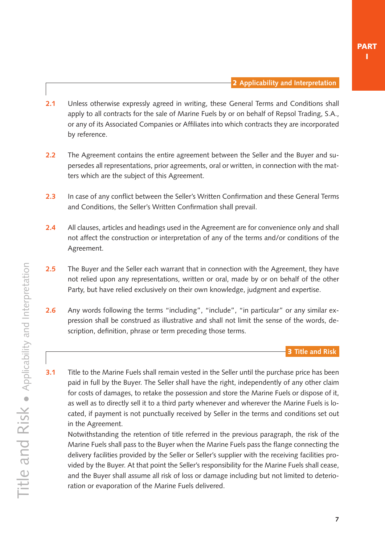- <span id="page-6-0"></span>**2.1** Unless otherwise expressly agreed in writing, these General Terms and Conditions shall apply to all contracts for the sale of Marine Fuels by or on behalf of Repsol Trading, S.A., or any of its Associated Companies or Affiliates into which contracts they are incorporated by reference.
- **2.2** The Agreement contains the entire agreement between the Seller and the Buyer and supersedes all representations, prior agreements, oral or written, in connection with the matters which are the subject of this Agreement.
- **2.3** In case of any conflict between the Seller's Written Confirmation and these General Terms and Conditions, the Seller's Written Confirmation shall prevail.
- **2.4** All clauses, articles and headings used in the Agreement are for convenience only and shall not affect the construction or interpretation of any of the terms and/or conditions of the Agreement.
- **2.5** The Buyer and the Seller each warrant that in connection with the Agreement, they have not relied upon any representations, written or oral, made by or on behalf of the other Party, but have relied exclusively on their own knowledge, judgment and expertise.
- **2.6** Any words following the terms "including", "include", "in particular" or any similar expression shall be construed as illustrative and shall not limit the sense of the words, description, definition, phrase or term preceding those terms.

**3.1** Title to the Marine Fuels shall remain vested in the Seller until the purchase price has been paid in full by the Buyer. The Seller shall have the right, independently of any other claim for costs of damages, to retake the possession and store the Marine Fuels or dispose of it, as well as to directly sell it to a third party whenever and wherever the Marine Fuels is located, if payment is not punctually received by Seller in the terms and conditions set out in the Agreement.

 Notwithstanding the retention of title referred in the previous paragraph, the risk of the Marine Fuels shall pass to the Buyer when the Marine Fuels pass the flange connecting the delivery facilities provided by the Seller or Seller's supplier with the receiving facilities provided by the Buyer. At that point the Seller's responsibility for the Marine Fuels shall cease, and the Buyer shall assume all risk of loss or damage including but not limited to deterioration or evaporation of the Marine Fuels delivered.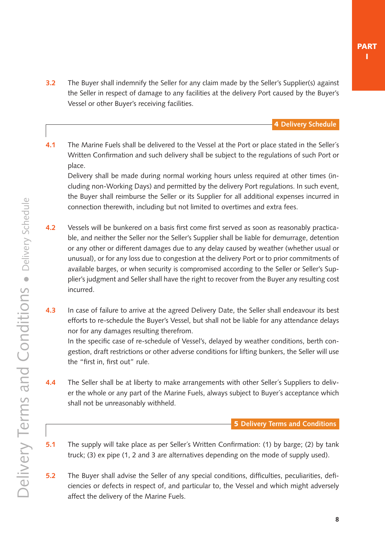<span id="page-7-0"></span>**3.2** The Buyer shall indemnify the Seller for any claim made by the Seller's Supplier(s) against the Seller in respect of damage to any facilities at the delivery Port caused by the Buyer's Vessel or other Buyer's receiving facilities.

4 **Delivery Schedule**

**4.1** The Marine Fuels shall be delivered to the Vessel at the Port or place stated in the Seller´s Written Confirmation and such delivery shall be subject to the regulations of such Port or place.

 Delivery shall be made during normal working hours unless required at other times (including non-Working Days) and permitted by the delivery Port regulations. In such event, the Buyer shall reimburse the Seller or its Supplier for all additional expenses incurred in connection therewith, including but not limited to overtimes and extra fees.

- **4.2** Vessels will be bunkered on a basis first come first served as soon as reasonably practicable, and neither the Seller nor the Seller's Supplier shall be liable for demurrage, detention or any other or different damages due to any delay caused by weather (whether usual or unusual), or for any loss due to congestion at the delivery Port or to prior commitments of available barges, or when security is compromised according to the Seller or Seller's Supplier's judgment and Seller shall have the right to recover from the Buyer any resulting cost incurred.
- **4.3** In case of failure to arrive at the agreed Delivery Date, the Seller shall endeavour its best efforts to re-schedule the Buyer's Vessel, but shall not be liable for any attendance delays nor for any damages resulting therefrom.

 In the specific case of re-schedule of Vessel's, delayed by weather conditions, berth congestion, draft restrictions or other adverse conditions for lifting bunkers, the Seller will use the "first in, first out" rule.

**4.4** The Seller shall be at liberty to make arrangements with other Seller´s Suppliers to deliver the whole or any part of the Marine Fuels, always subject to Buyer´s acceptance which shall not be unreasonably withheld.

5 **Delivery Terms and Conditions**

- **5.1** The supply will take place as per Seller´s Written Confirmation: (1) by barge; (2) by tank truck; (3) ex pipe (1, 2 and 3 are alternatives depending on the mode of supply used).
- **5.2** The Buyer shall advise the Seller of any special conditions, difficulties, peculiarities, deficiencies or defects in respect of, and particular to, the Vessel and which might adversely affect the delivery of the Marine Fuels.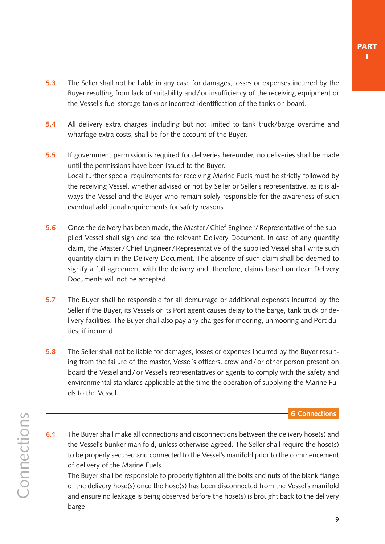- <span id="page-8-0"></span>**5.3** The Seller shall not be liable in any case for damages, losses or expenses incurred by the Buyer resulting from lack of suitability and/or insufficiency of the receiving equipment or the Vessel´s fuel storage tanks or incorrect identification of the tanks on board.
- **5.4** All delivery extra charges, including but not limited to tank truck/barge overtime and wharfage extra costs, shall be for the account of the Buyer.
- **5.5** If government permission is required for deliveries hereunder, no deliveries shall be made until the permissions have been issued to the Buyer. Local further special requirements for receiving Marine Fuels must be strictly followed by the receiving Vessel, whether advised or not by Seller or Seller's representative, as it is always the Vessel and the Buyer who remain solely responsible for the awareness of such eventual additional requirements for safety reasons.
- **5.6** Once the delivery has been made, the Master / Chief Engineer / Representative of the supplied Vessel shall sign and seal the relevant Delivery Document. In case of any quantity claim, the Master/Chief Engineer/Representative of the supplied Vessel shall write such quantity claim in the Delivery Document. The absence of such claim shall be deemed to signify a full agreement with the delivery and, therefore, claims based on clean Delivery Documents will not be accepted.
- **5.7** The Buyer shall be responsible for all demurrage or additional expenses incurred by the Seller if the Buyer, its Vessels or its Port agent causes delay to the barge, tank truck or delivery facilities. The Buyer shall also pay any charges for mooring, unmooring and Port duties, if incurred.
- **5.8** The Seller shall not be liable for damages, losses or expenses incurred by the Buyer resulting from the failure of the master, Vessel´s officers, crew and/or other person present on board the Vessel and/or Vessel´s representatives or agents to comply with the safety and environmental standards applicable at the time the operation of supplying the Marine Fuels to the Vessel.

6 **Connections**

- Connections **Connections**
- **6.1** The Buyer shall make all connections and disconnections between the delivery hose(s) and the Vessel´s bunker manifold, unless otherwise agreed. The Seller shall require the hose(s) to be properly secured and connected to the Vessel's manifold prior to the commencement of delivery of the Marine Fuels.

 The Buyer shall be responsible to properly tighten all the bolts and nuts of the blank flange of the delivery hose(s) once the hose(s) has been disconnected from the Vessel's manifold and ensure no leakage is being observed before the hose(s) is brought back to the delivery barge.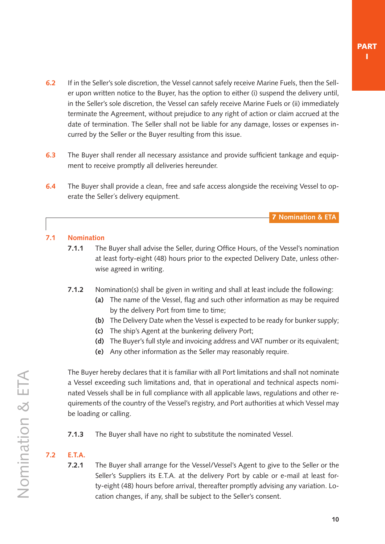- <span id="page-9-0"></span>**6.2** If in the Seller's sole discretion, the Vessel cannot safely receive Marine Fuels, then the Seller upon written notice to the Buyer, has the option to either (i) suspend the delivery until, in the Seller's sole discretion, the Vessel can safely receive Marine Fuels or (ii) immediately terminate the Agreement, without prejudice to any right of action or claim accrued at the date of termination. The Seller shall not be liable for any damage, losses or expenses incurred by the Seller or the Buyer resulting from this issue.
- **6.3** The Buyer shall render all necessary assistance and provide sufficient tankage and equipment to receive promptly all deliveries hereunder.
- **6.4** The Buyer shall provide a clean, free and safe access alongside the receiving Vessel to operate the Seller´s delivery equipment.

**7.1 Nomination**

- **7.1.1** The Buyer shall advise the Seller, during Office Hours, of the Vessel's nomination at least forty-eight (48) hours prior to the expected Delivery Date, unless otherwise agreed in writing.
- **7.1.2** Nomination(s) shall be given in writing and shall at least include the following:
	- **(a)** The name of the Vessel, flag and such other information as may be required by the delivery Port from time to time;
	- **(b)** The Delivery Date when the Vessel is expected to be ready for bunker supply;
	- **(c)** The ship's Agent at the bunkering delivery Port;
	- **(d)** The Buyer's full style and invoicing address and VAT number or its equivalent;
	- **(e)** Any other information as the Seller may reasonably require.

 The Buyer hereby declares that it is familiar with all Port limitations and shall not nominate a Vessel exceeding such limitations and, that in operational and technical aspects nominated Vessels shall be in full compliance with all applicable laws, regulations and other requirements of the country of the Vessel's registry, and Port authorities at which Vessel may be loading or calling.

**7.1.3** The Buyer shall have no right to substitute the nominated Vessel.

### **7.2 E.T.A.**

**7.2.1** The Buyer shall arrange for the Vessel/Vessel's Agent to give to the Seller or the Seller's Suppliers its E.T.A. at the delivery Port by cable or e-mail at least forty-eight (48) hours before arrival, thereafter promptly advising any variation. Location changes, if any, shall be subject to the Seller's consent.

7 **Nomination & ETA**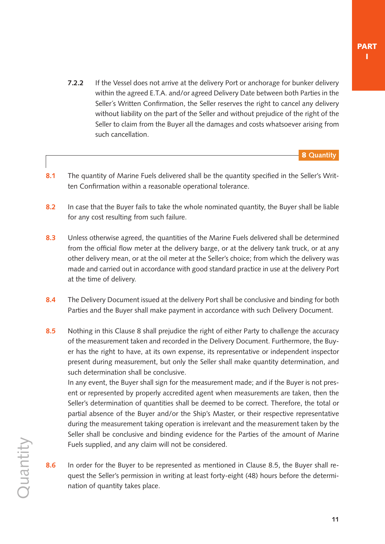<span id="page-10-0"></span>**7.2.2** If the Vessel does not arrive at the delivery Port or anchorage for bunker delivery within the agreed E.T.A. and/or agreed Delivery Date between both Parties in the Seller´s Written Confirmation, the Seller reserves the right to cancel any delivery without liability on the part of the Seller and without prejudice of the right of the Seller to claim from the Buyer all the damages and costs whatsoever arising from such cancellation.

8 **Quantity**

- 8.1 The quantity of Marine Fuels delivered shall be the quantity specified in the Seller's Written Confirmation within a reasonable operational tolerance.
- **8.2** In case that the Buyer fails to take the whole nominated quantity, the Buyer shall be liable for any cost resulting from such failure.
- **8.3** Unless otherwise agreed, the quantities of the Marine Fuels delivered shall be determined from the official flow meter at the delivery barge, or at the delivery tank truck, or at any other delivery mean, or at the oil meter at the Seller's choice; from which the delivery was made and carried out in accordance with good standard practice in use at the delivery Port at the time of delivery.
- **8.4** The Delivery Document issued at the delivery Port shall be conclusive and binding for both Parties and the Buyer shall make payment in accordance with such Delivery Document.
- **8.5** Nothing in this Clause 8 shall prejudice the right of either Party to challenge the accuracy of the measurement taken and recorded in the Delivery Document. Furthermore, the Buyer has the right to have, at its own expense, its representative or independent inspector present during measurement, but only the Seller shall make quantity determination, and such determination shall be conclusive.

 In any event, the Buyer shall sign for the measurement made; and if the Buyer is not present or represented by properly accredited agent when measurements are taken, then the Seller's determination of quantities shall be deemed to be correct. Therefore, the total or partial absence of the Buyer and/or the Ship's Master, or their respective representative during the measurement taking operation is irrelevant and the measurement taken by the Seller shall be conclusive and binding evidence for the Parties of the amount of Marine Fuels supplied, and any claim will not be considered.

**8.6** In order for the Buyer to be represented as mentioned in Clause 8.5, the Buyer shall request the Seller's permission in writing at least forty-eight (48) hours before the determination of quantity takes place.

**Quantity**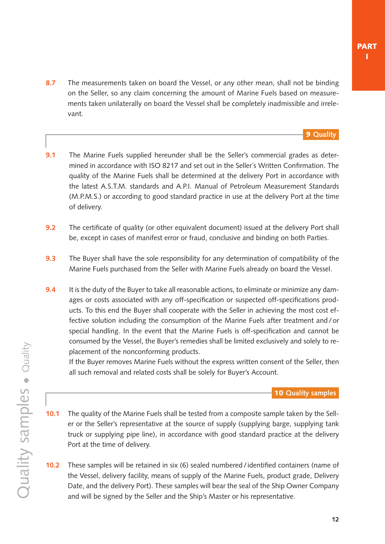<span id="page-11-0"></span>**8.7** The measurements taken on board the Vessel, or any other mean, shall not be binding on the Seller, so any claim concerning the amount of Marine Fuels based on measurements taken unilaterally on board the Vessel shall be completely inadmissible and irrelevant.

#### 9 **Quality**

- **9.1** The Marine Fuels supplied hereunder shall be the Seller's commercial grades as determined in accordance with ISO 8217 and set out in the Seller´s Written Confirmation. The quality of the Marine Fuels shall be determined at the delivery Port in accordance with the latest A.S.T.M. standards and A.P.I. Manual of Petroleum Measurement Standards (M.P.M.S.) or according to good standard practice in use at the delivery Port at the time of delivery.
- **9.2** The certificate of quality (or other equivalent document) issued at the delivery Port shall be, except in cases of manifest error or fraud, conclusive and binding on both Parties.
- **9.3** The Buyer shall have the sole responsibility for any determination of compatibility of the Marine Fuels purchased from the Seller with Marine Fuels already on board the Vessel.
- **9.4** It is the duty of the Buyer to take all reasonable actions, to eliminate or minimize any damages or costs associated with any off-specification or suspected off-specifications products. To this end the Buyer shall cooperate with the Seller in achieving the most cost effective solution including the consumption of the Marine Fuels after treatment and/or special handling. In the event that the Marine Fuels is off-specification and cannot be consumed by the Vessel, the Buyer's remedies shall be limited exclusively and solely to replacement of the nonconforming products.

 If the Buyer removes Marine Fuels without the express written consent of the Seller, then all such removal and related costs shall be solely for Buyer's Account.

10 **Quality samples**

- **10.1** The quality of the Marine Fuels shall be tested from a composite sample taken by the Seller or the Seller's representative at the source of supply (supplying barge, supplying tank truck or supplying pipe line), in accordance with good standard practice at the delivery Port at the time of delivery.
- **10.2** These samples will be retained in six (6) sealed numbered/ identified containers (name of the Vessel, delivery facility, means of supply of the Marine Fuels, product grade, Delivery Date, and the delivery Port). These samples will bear the seal of the Ship Owner Company and will be signed by the Seller and the Ship's Master or his representative.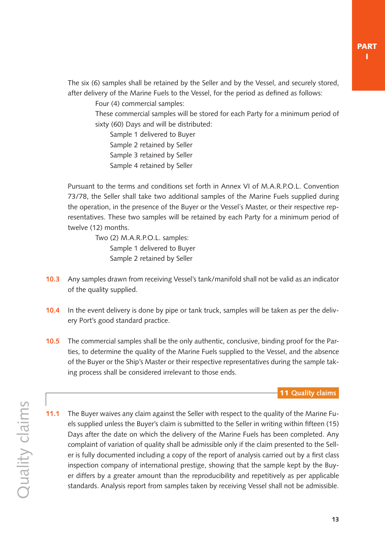<span id="page-12-0"></span> The six (6) samples shall be retained by the Seller and by the Vessel, and securely stored, after delivery of the Marine Fuels to the Vessel, for the period as defined as follows:

Four (4) commercial samples:

These commercial samples will be stored for each Party for a minimum period of sixty (60) Days and will be distributed:

Sample 1 delivered to Buyer Sample 2 retained by Seller Sample 3 retained by Seller Sample 4 retained by Seller

 Pursuant to the terms and conditions set forth in Annex VI of M.A.R.P.O.L. Convention 73/78, the Seller shall take two additional samples of the Marine Fuels supplied during the operation, in the presence of the Buyer or the Vessel´s Master, or their respective representatives. These two samples will be retained by each Party for a minimum period of twelve (12) months.

> Two (2) M.A.R.P.O.L. samples: Sample 1 delivered to Buyer Sample 2 retained by Seller

- **10.3** Any samples drawn from receiving Vessel's tank/manifold shall not be valid as an indicator of the quality supplied.
- **10.4** In the event delivery is done by pipe or tank truck, samples will be taken as per the delivery Port's good standard practice.
- **10.5** The commercial samples shall be the only authentic, conclusive, binding proof for the Parties, to determine the quality of the Marine Fuels supplied to the Vessel, and the absence of the Buyer or the Ship's Master or their respective representatives during the sample taking process shall be considered irrelevant to those ends.

11 **Quality claims**

**11.1** The Buyer waives any claim against the Seller with respect to the quality of the Marine Fuels supplied unless the Buyer's claim is submitted to the Seller in writing within fifteen (15) Days after the date on which the delivery of the Marine Fuels has been completed. Any complaint of variation of quality shall be admissible only if the claim presented to the Seller is fully documented including a copy of the report of analysis carried out by a first class inspection company of international prestige, showing that the sample kept by the Buyer differs by a greater amount than the reproducibility and repetitively as per applicable standards. Analysis report from samples taken by receiving Vessel shall not be admissible.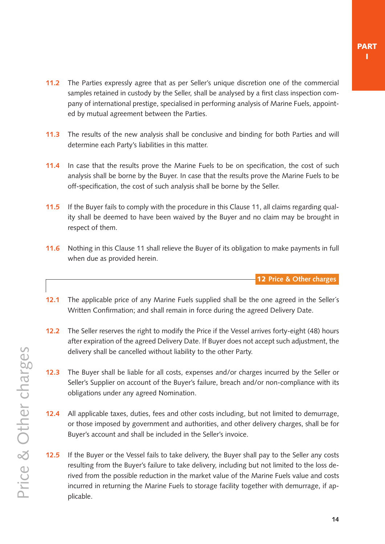- <span id="page-13-0"></span>**11.2** The Parties expressly agree that as per Seller's unique discretion one of the commercial samples retained in custody by the Seller, shall be analysed by a first class inspection company of international prestige, specialised in performing analysis of Marine Fuels, appointed by mutual agreement between the Parties.
- **11.3** The results of the new analysis shall be conclusive and binding for both Parties and will determine each Party's liabilities in this matter.
- **11.4** In case that the results prove the Marine Fuels to be on specification, the cost of such analysis shall be borne by the Buyer. In case that the results prove the Marine Fuels to be off-specification, the cost of such analysis shall be borne by the Seller.
- **11.5** If the Buyer fails to comply with the procedure in this [Clause 11,](#page-12-0) all claims regarding quality shall be deemed to have been waived by the Buyer and no claim may be brought in respect of them.
- **11.6** Nothing in thi[s Clause 11](#page-12-0) shall relieve the Buyer of its obligation to make payments in full when due as provided herein.

12 **Price & Other charges**

- **12.1** The applicable price of any Marine Fuels supplied shall be the one agreed in the Seller´s Written Confirmation; and shall remain in force during the agreed Delivery Date.
- **12.2** The Seller reserves the right to modify the Price if the Vessel arrives forty-eight (48) hours after expiration of the agreed Delivery Date. If Buyer does not accept such adjustment, the delivery shall be cancelled without liability to the other Party.
- **12.3** The Buyer shall be liable for all costs, expenses and/or charges incurred by the Seller or Seller's Supplier on account of the Buyer's failure, breach and/or non-compliance with its obligations under any agreed Nomination.
- **12.4** All applicable taxes, duties, fees and other costs including, but not limited to demurrage, or those imposed by government and authorities, and other delivery charges, shall be for Buyer's account and shall be included in the Seller's invoice.
- **12.5** If the Buyer or the Vessel fails to take delivery, the Buyer shall pay to the Seller any costs resulting from the Buyer's failure to take delivery, including but not limited to the loss derived from the possible reduction in the market value of the Marine Fuels value and costs incurred in returning the Marine Fuels to storage facility together with demurrage, if applicable.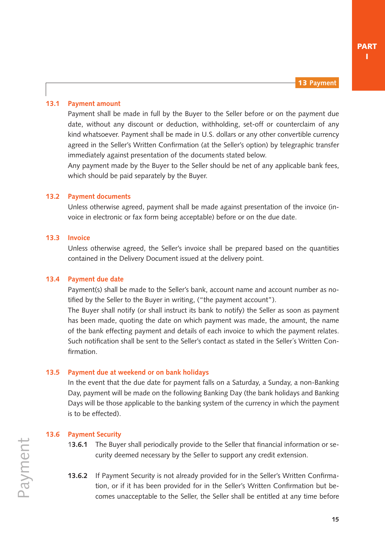13 **Payment**

#### <span id="page-14-0"></span>**13.1 Payment amount**

 Payment shall be made in full by the Buyer to the Seller before or on the payment due date, without any discount or deduction, withholding, set-off or counterclaim of any kind whatsoever. Payment shall be made in U.S. dollars or any other convertible currency agreed in the Seller's Written Confirmation (at the Seller's option) by telegraphic transfer immediately against presentation of the documents stated below.

 Any payment made by the Buyer to the Seller should be net of any applicable bank fees, which should be paid separately by the Buyer.

#### **13.2 Payment documents**

 Unless otherwise agreed, payment shall be made against presentation of the invoice (invoice in electronic or fax form being acceptable) before or on the due date.

#### **13.3 Invoice**

 Unless otherwise agreed, the Seller's invoice shall be prepared based on the quantities contained in the Delivery Document issued at the delivery point.

#### **13.4 Payment due date**

 Payment(s) shall be made to the Seller's bank, account name and account number as notified by the Seller to the Buyer in writing, ("the payment account").

 The Buyer shall notify (or shall instruct its bank to notify) the Seller as soon as payment has been made, quoting the date on which payment was made, the amount, the name of the bank effecting payment and details of each invoice to which the payment relates. Such notification shall be sent to the Seller's contact as stated in the Seller´s Written Confirmation.

#### **13.5 Payment due at weekend or on bank holidays**

 In the event that the due date for payment falls on a Saturday, a Sunday, a non-Banking Day, payment will be made on the following Banking Day (the bank holidays and Banking Days will be those applicable to the banking system of the currency in which the payment is to be effected).

#### **13.6 Payment Security**

- 1**3.6.1** The Buyer shall periodically provide to the Seller that financial information or security deemed necessary by the Seller to support any credit extension.
- **13.6.2** If Payment Security is not already provided for in the Seller's Written Confirmation, or if it has been provided for in the Seller's Written Confirmation but becomes unacceptable to the Seller, the Seller shall be entitled at any time before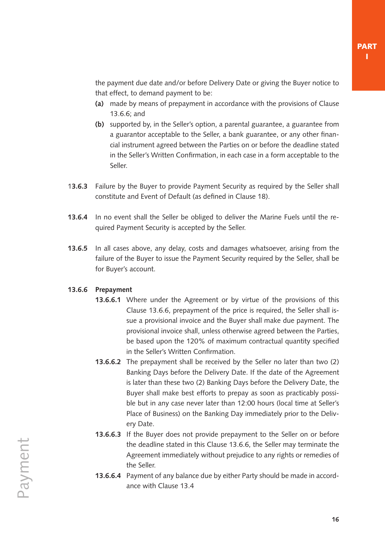<span id="page-15-0"></span>the payment due date and/or before Delivery Date or giving the Buyer notice to that effect, to demand payment to be:

- **(a)** made by means of prepayment in accordance with the provisions of Clause 13.6.6; and
- **(b)** supported by, in the Seller's option, a parental guarantee, a guarantee from a guarantor acceptable to the Seller, a bank guarantee, or any other financial instrument agreed between the Parties on or before the deadline stated in the Seller's Written Confirmation, in each case in a form acceptable to the Seller.
- 1**3.6.3** Failure by the Buyer to provide Payment Security as required by the Seller shall constitute and Event of Default (as defined in [Clause 18\).](#page-18-0)
- **13.6.4** In no event shall the Seller be obliged to deliver the Marine Fuels until the required Payment Security is accepted by the Seller.
- **13.6.5** In all cases above, any delay, costs and damages whatsoever, arising from the failure of the Buyer to issue the Payment Security required by the Seller, shall be for Buyer's account.

#### **13.6.6 Prepayment**

- **13.6.6.1** Where under the Agreement or by virtue of the provisions of this Clause 13.6.6, prepayment of the price is required, the Seller shall issue a provisional invoice and the Buyer shall make due payment. The provisional invoice shall, unless otherwise agreed between the Parties, be based upon the 120% of maximum contractual quantity specified in the Seller's Written Confirmation.
- **13.6.6.2** The prepayment shall be received by the Seller no later than two (2) Banking Days before the Delivery Date. If the date of the Agreement is later than these two (2) Banking Days before the Delivery Date, the Buyer shall make best efforts to prepay as soon as practicably possible but in any case never later than 12:00 hours (local time at Seller's Place of Business) on the Banking Day immediately prior to the Delivery Date.
- **13.6.6.3** If the Buyer does not provide prepayment to the Seller on or before the deadline stated in this Clause 13.6.6, the Seller may terminate the Agreement immediately without prejudice to any rights or remedies of the Seller.
- **13.6.6.4** Payment of any balance due by either Party should be made in accordance with [Clause 13.4](#page-14-0)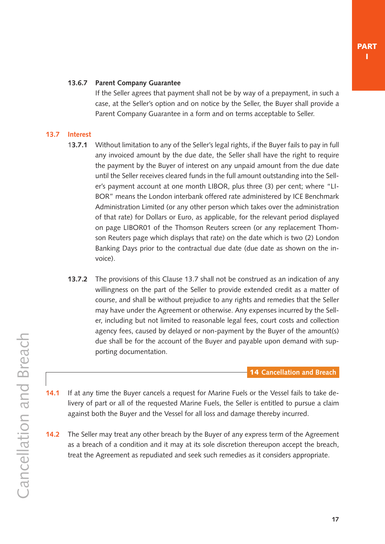#### <span id="page-16-0"></span>**13.6.7 Parent Company Guarantee**

If the Seller agrees that payment shall not be by way of a prepayment, in such a case, at the Seller's option and on notice by the Seller, the Buyer shall provide a Parent Company Guarantee in a form and on terms acceptable to Seller.

#### **13.7 Interest**

- 1**3.7.1** Without limitation to any of the Seller's legal rights, if the Buyer fails to pay in full any invoiced amount by the due date, the Seller shall have the right to require the payment by the Buyer of interest on any unpaid amount from the due date until the Seller receives cleared funds in the full amount outstanding into the Seller's payment account at one month LIBOR, plus three (3) per cent; where "LI-BOR" means the London interbank offered rate administered by ICE Benchmark Administration Limited (or any other person which takes over the administration of that rate) for Dollars or Euro, as applicable, for the relevant period displayed on page LIBOR01 of the Thomson Reuters screen (or any replacement Thomson Reuters page which displays that rate) on the date which is two (2) London Banking Days prior to the contractual due date (due date as shown on the invoice).
- **13.7.2** The provisions of this Clause 13.7 shall not be construed as an indication of any willingness on the part of the Seller to provide extended credit as a matter of course, and shall be without prejudice to any rights and remedies that the Seller may have under the Agreement or otherwise. Any expenses incurred by the Seller, including but not limited to reasonable legal fees, court costs and collection agency fees, caused by delayed or non-payment by the Buyer of the amount(s) due shall be for the account of the Buyer and payable upon demand with supporting documentation.

14 **Cancellation and Breach**

- **14.1** If at any time the Buyer cancels a request for Marine Fuels or the Vessel fails to take delivery of part or all of the requested Marine Fuels, the Seller is entitled to pursue a claim against both the Buyer and the Vessel for all loss and damage thereby incurred.
- **14.2** The Seller may treat any other breach by the Buyer of any express term of the Agreement as a breach of a condition and it may at its sole discretion thereupon accept the breach, treat the Agreement as repudiated and seek such remedies as it considers appropriate.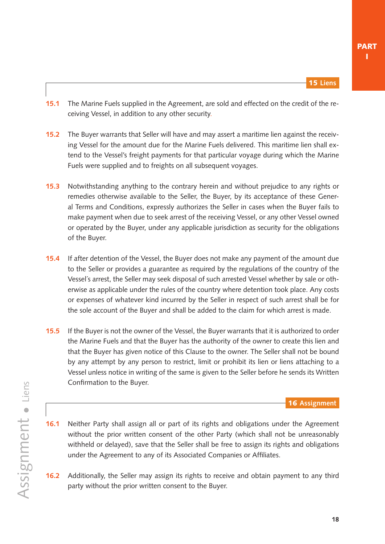- <span id="page-17-0"></span>**15.1** The Marine Fuels supplied in the Agreement, are sold and effected on the credit of the receiving Vessel, in addition to any other security.
- **15.2** The Buyer warrants that Seller will have and may assert a maritime lien against the receiving Vessel for the amount due for the Marine Fuels delivered. This maritime lien shall extend to the Vessel's freight payments for that particular voyage during which the Marine Fuels were supplied and to freights on all subsequent voyages.
- **15.3** Notwithstanding anything to the contrary herein and without prejudice to any rights or remedies otherwise available to the Seller, the Buyer, by its acceptance of these General Terms and Conditions, expressly authorizes the Seller in cases when the Buyer fails to make payment when due to seek arrest of the receiving Vessel, or any other Vessel owned or operated by the Buyer, under any applicable jurisdiction as security for the obligations of the Buyer.
- **15.4** If after detention of the Vessel, the Buyer does not make any payment of the amount due to the Seller or provides a guarantee as required by the regulations of the country of the Vessel´s arrest, the Seller may seek disposal of such arrested Vessel whether by sale or otherwise as applicable under the rules of the country where detention took place. Any costs or expenses of whatever kind incurred by the Seller in respect of such arrest shall be for the sole account of the Buyer and shall be added to the claim for which arrest is made.
- **15.5** If the Buyer is not the owner of the Vessel, the Buyer warrants that it is authorized to order the Marine Fuels and that the Buyer has the authority of the owner to create this lien and that the Buyer has given notice of this Clause to the owner. The Seller shall not be bound by any attempt by any person to restrict, limit or prohibit its lien or liens attaching to a Vessel unless notice in writing of the same is given to the Seller before he sends its Written Confirmation to the Buyer.

16 **Assignment**

- **16.1** Neither Party shall assign all or part of its rights and obligations under the Agreement without the prior written consent of the other Party (which shall not be unreasonably withheld or delayed), save that the Seller shall be free to assign its rights and obligations under the Agreement to any of its Associated Companies or Affiliates.
- **16.2** Additionally, the Seller may assign its rights to receive and obtain payment to any third party without the prior written consent to the Buyer.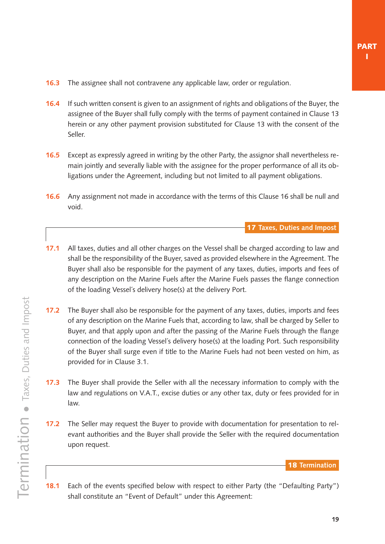- <span id="page-18-0"></span>**16.3** The assignee shall not contravene any applicable law, order or regulation.
- **16.4** If such written consent is given to an assignment of rights and obligations of the Buyer, the assignee of the Buyer shall fully comply with the terms of payment contained i[n Clause 13](#page-14-0)  herein or any other payment provision substituted for [Clause 13](#page-14-0) with the consent of the Seller.
- **16.5** Except as expressly agreed in writing by the other Party, the assignor shall nevertheless remain jointly and severally liable with the assignee for the proper performance of all its obligations under the Agreement, including but not limited to all payment obligations.
- **16.6** Any assignment not made in accordance with the terms of this [Clause 16 s](#page-17-0)hall be null and void.

17 **Taxes, Duties and Impost**

- **17.1** All taxes, duties and all other charges on the Vessel shall be charged according to law and shall be the responsibility of the Buyer, saved as provided elsewhere in the Agreement. The Buyer shall also be responsible for the payment of any taxes, duties, imports and fees of any description on the Marine Fuels after the Marine Fuels passes the flange connection of the loading Vessel´s delivery hose(s) at the delivery Port.
- **17.2** The Buyer shall also be responsible for the payment of any taxes, duties, imports and fees of any description on the Marine Fuels that, according to law, shall be charged by Seller to Buyer, and that apply upon and after the passing of the Marine Fuels through the flange connection of the loading Vessel´s delivery hose(s) at the loading Port. Such responsibility of the Buyer shall surge even if title to the Marine Fuels had not been vested on him, as provided for in [Clause 3.1.](#page-6-0)
- **17.3** The Buyer shall provide the Seller with all the necessary information to comply with the law and regulations on V.A.T., excise duties or any other tax, duty or fees provided for in law.
- **17.2** The Seller may request the Buyer to provide with documentation for presentation to relevant authorities and the Buyer shall provide the Seller with the required documentation upon request.

18 **Termination**

**18.1** Each of the events specified below with respect to either Party (the "Defaulting Party") shall constitute an "Event of Default" under this Agreement: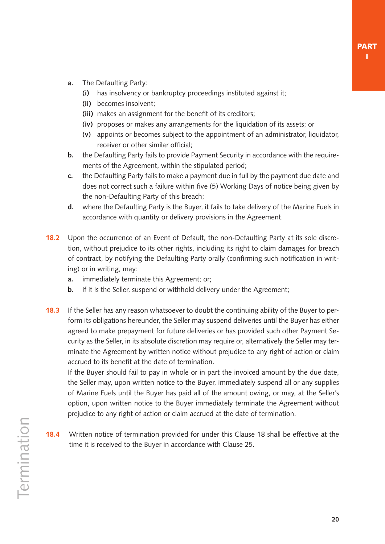- **a.** The Defaulting Party:
	- **(i)** has insolvency or bankruptcy proceedings instituted against it;
	- **(ii)** becomes insolvent;
	- **(iii)** makes an assignment for the benefit of its creditors;
	- **(iv)** proposes or makes any arrangements for the liquidation of its assets; or
	- **(v)** appoints or becomes subject to the appointment of an administrator, liquidator, receiver or other similar official;
- **b.** the Defaulting Party fails to provide Payment Security in accordance with the requirements of the Agreement, within the stipulated period;
- **c.** the Defaulting Party fails to make a payment due in full by the payment due date and does not correct such a failure within five (5) Working Days of notice being given by the non-Defaulting Party of this breach;
- **d.** where the Defaulting Party is the Buyer, it fails to take delivery of the Marine Fuels in accordance with quantity or delivery provisions in the Agreement.
- **18.2** Upon the occurrence of an Event of Default, the non-Defaulting Party at its sole discretion, without prejudice to its other rights, including its right to claim damages for breach of contract, by notifying the Defaulting Party orally (confirming such notification in writing) or in writing, may:
	- **a.** immediately terminate this Agreement; or;
	- **b.** if it is the Seller, suspend or withhold delivery under the Agreement;
- **18.3** If the Seller has any reason whatsoever to doubt the continuing ability of the Buyer to perform its obligations hereunder, the Seller may suspend deliveries until the Buyer has either agreed to make prepayment for future deliveries or has provided such other Payment Security as the Seller, in its absolute discretion may require or, alternatively the Seller may terminate the Agreement by written notice without prejudice to any right of action or claim accrued to its benefit at the date of termination.

If the Buyer should fail to pay in whole or in part the invoiced amount by the due date, the Seller may, upon written notice to the Buyer, immediately suspend all or any supplies of Marine Fuels until the Buyer has paid all of the amount owing, or may, at the Seller's option, upon written notice to the Buyer immediately terminate the Agreement without prejudice to any right of action or claim accrued at the date of termination.

**18.4** Written notice of termination provided for under this [Clause 18](#page-18-0) shall be effective at the time it is received to the Buyer in accordance with [Clause 25.](#page-23-0)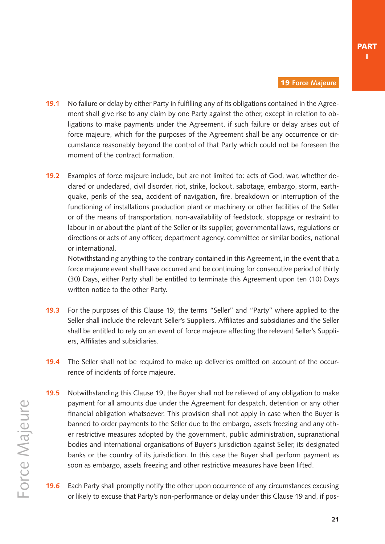19 **Force Majeure**

- <span id="page-20-0"></span>**19.1** No failure or delay by either Party in fulfilling any of its obligations contained in the Agreement shall give rise to any claim by one Party against the other, except in relation to obligations to make payments under the Agreement, if such failure or delay arises out of force majeure, which for the purposes of the Agreement shall be any occurrence or circumstance reasonably beyond the control of that Party which could not be foreseen the moment of the contract formation.
- **19.2** Examples of force majeure include, but are not limited to: acts of God, war, whether declared or undeclared, civil disorder, riot, strike, lockout, sabotage, embargo, storm, earthquake, perils of the sea, accident of navigation, fire, breakdown or interruption of the functioning of installations production plant or machinery or other facilities of the Seller or of the means of transportation, non-availability of feedstock, stoppage or restraint to labour in or about the plant of the Seller or its supplier, governmental laws, regulations or directions or acts of any officer, department agency, committee or similar bodies, national or international.

Notwithstanding anything to the contrary contained in this Agreement, in the event that a force majeure event shall have occurred and be continuing for consecutive period of thirty (30) Days, either Party shall be entitled to terminate this Agreement upon ten (10) Days written notice to the other Party.

- **19.3** For the purposes of this Clause 19, the terms "Seller'' and "Party'' where applied to the Seller shall include the relevant Seller's Suppliers, Affiliates and subsidiaries and the Seller shall be entitled to rely on an event of force majeure affecting the relevant Seller's Suppliers, Affiliates and subsidiaries.
- **19.4** The Seller shall not be required to make up deliveries omitted on account of the occurrence of incidents of force majeure.
- **19.5** Notwithstanding this Clause 19, the Buyer shall not be relieved of any obligation to make payment for all amounts due under the Agreement for despatch, detention or any other financial obligation whatsoever. This provision shall not apply in case when the Buyer is banned to order payments to the Seller due to the embargo, assets freezing and any other restrictive measures adopted by the government, public administration, supranational bodies and international organisations of Buyer's jurisdiction against Seller, its designated banks or the country of its jurisdiction. In this case the Buyer shall perform payment as soon as embargo, assets freezing and other restrictive measures have been lifted.
- **19.6** Each Party shall promptly notify the other upon occurrence of any circumstances excusing or likely to excuse that Party's non-performance or delay under this Clause 19 and, if pos-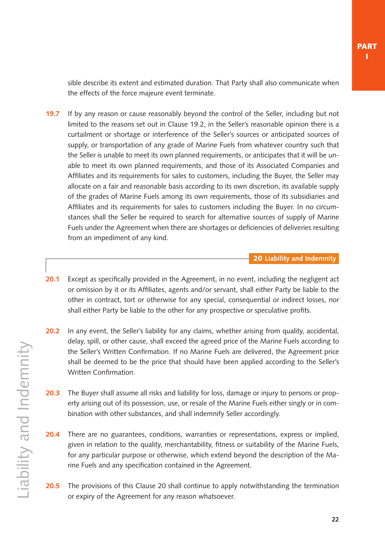<span id="page-21-0"></span>sible describe its extent and estimated duration. That Party shall also communicate when the effects of the force majeure event terminate.

**19.7** If by any reason or cause reasonably beyond the control of the Seller, including but not limited to the reasons set out in [Clause 19.2](#page-20-0), in the Seller's reasonable opinion there is a curtailment or shortage or interference of the Seller's sources or anticipated sources of supply, or transportation of any grade of Marine Fuels from whatever country such that the Seller is unable to meet its own planned requirements, or anticipates that it will be unable to meet its own planned requirements, and those of its Associated Companies and Affiliates and its requirements for sales to customers, including the Buyer, the Seller may allocate on a fair and reasonable basis according to its own discretion, its available supply of the grades of Marine Fuels among its own requirements, those of its subsidiaries and Affiliates and its requirements for sales to customers including the Buyer. In no circumstances shall the Seller be required to search for alternative sources of supply of Marine Fuels under the Agreement when there are shortages or deficiencies of deliveries resulting from an impediment of any kind.

#### 20 **Liability and Indemnity**

- **20.1** Except as specifically provided in the Agreement, in no event, including the negligent act or omission by it or its Affiliates, agents and/or servant, shall either Party be liable to the other in contract, tort or otherwise for any special, consequential or indirect losses, nor shall either Party be liable to the other for any prospective or speculative profits.
- **20.2** In any event, the Seller's liability for any claims, whether arising from quality, accidental, delay, spill, or other cause, shall exceed the agreed price of the Marine Fuels according to the Seller's Written Confirmation. If no Marine Fuels are delivered, the Agreement price shall be deemed to be the price that should have been applied according to the Seller's Written Confirmation.
- **20.3** The Buyer shall assume all risks and liability for loss, damage or injury to persons or property arising out of its possession, use, or resale of the Marine Fuels either singly or in combination with other substances, and shall indemnify Seller accordingly.
- **20.4** There are no guarantees, conditions, warranties or representations, express or implied, given in relation to the quality, merchantability, fitness or suitability of the Marine Fuels, for any particular purpose or otherwise, which extend beyond the description of the Marine Fuels and any specification contained in the Agreement.
- **20.5** The provisions of this Clause 20 shall continue to apply notwithstanding the termination or expiry of the Agreement for any reason whatsoever.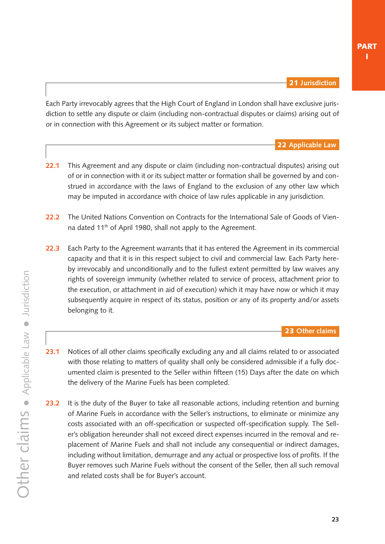<span id="page-22-0"></span>Each Party irrevocably agrees that the High Court of England in London shall have exclusive jurisdiction to settle any dispute or claim (including non-contractual disputes or claims) arising out of or in connection with this Agreement or its subject matter or formation.

22 **Applicable Law**

- **22.1** This Agreement and any dispute or claim (including non-contractual disputes) arising out of or in connection with it or its subject matter or formation shall be governed by and construed in accordance with the laws of England to the exclusion of any other law which may be imputed in accordance with choice of law rules applicable in any jurisdiction.
- **22.2** The United Nations Convention on Contracts for the International Sale of Goods of Vienna dated 11<sup>th</sup> of April 1980, shall not apply to the Agreement.
- **22.3** Each Party to the Agreement warrants that it has entered the Agreement in its commercial capacity and that it is in this respect subject to civil and commercial law. Each Party hereby irrevocably and unconditionally and to the fullest extent permitted by law waives any rights of sovereign immunity (whether related to service of process, attachment prior to the execution, or attachment in aid of execution) which it may have now or which it may subsequently acquire in respect of its status, position or any of its property and/or assets belonging to it.

#### 23 **Other claims**

- **23.1** Notices of all other claims specifically excluding any and all claims related to or associated with those relating to matters of quality shall only be considered admissible if a fully documented claim is presented to the Seller within fifteen (15) Days after the date on which the delivery of the Marine Fuels has been completed.
- **23.2** It is the duty of the Buyer to take all reasonable actions, including retention and burning of Marine Fuels in accordance with the Seller's instructions, to eliminate or minimize any costs associated with an off-specification or suspected off-specification supply. The Seller's obligation hereunder shall not exceed direct expenses incurred in the removal and replacement of Marine Fuels and shall not include any consequential or indirect damages, including without limitation, demurrage and any actual or prospective loss of profits. If the Buyer removes such Marine Fuels without the consent of the Seller, then all such removal and related costs shall be for Buyer's account.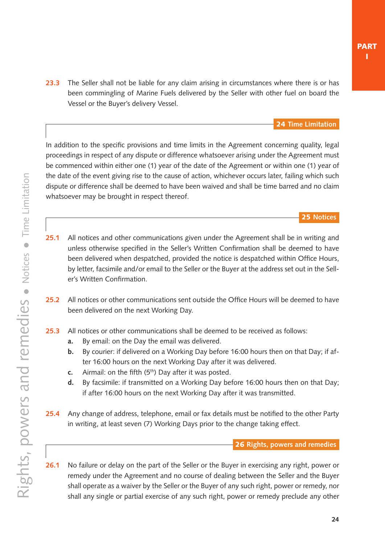<span id="page-23-0"></span>**23.3** The Seller shall not be liable for any claim arising in circumstances where there is or has been commingling of Marine Fuels delivered by the Seller with other fuel on board the Vessel or the Buyer's delivery Vessel.

24 **Time Limitation**

In addition to the specific provisions and time limits in the Agreement concerning quality, legal proceedings in respect of any dispute or difference whatsoever arising under the Agreement must be commenced within either one (1) year of the date of the Agreement or within one (1) year of the date of the event giving rise to the cause of action, whichever occurs later, failing which such dispute or difference shall be deemed to have been waived and shall be time barred and no claim whatsoever may be brought in respect thereof.

#### 25 **Notices**

- **25.1** All notices and other communications given under the Agreement shall be in writing and unless otherwise specified in the Seller's Written Confirmation shall be deemed to have been delivered when despatched, provided the notice is despatched within Office Hours, by letter, facsimile and/or email to the Seller or the Buyer at the address set out in the Seller's Written Confirmation.
- **25.2** All notices or other communications sent outside the Office Hours will be deemed to have been delivered on the next Working Day.
- **25.3** All notices or other communications shall be deemed to be received as follows:
	- **a.** By email: on the Day the email was delivered.
	- **b.** By courier: if delivered on a Working Day before 16:00 hours then on that Day; if after 16:00 hours on the next Working Day after it was delivered.
	- **c.** Airmail: on the fifth (5<sup>th</sup>) Day after it was posted.
	- **d.** By facsimile: if transmitted on a Working Day before 16:00 hours then on that Day; if after 16:00 hours on the next Working Day after it was transmitted.
- **25.4** Any change of address, telephone, email or fax details must be notified to the other Party in writing, at least seven (7) Working Days prior to the change taking effect.

#### 26 **Rights, powers and remedies**

**26.1** No failure or delay on the part of the Seller or the Buyer in exercising any right, power or remedy under the Agreement and no course of dealing between the Seller and the Buyer shall operate as a waiver by the Seller or the Buyer of any such right, power or remedy, nor shall any single or partial exercise of any such right, power or remedy preclude any other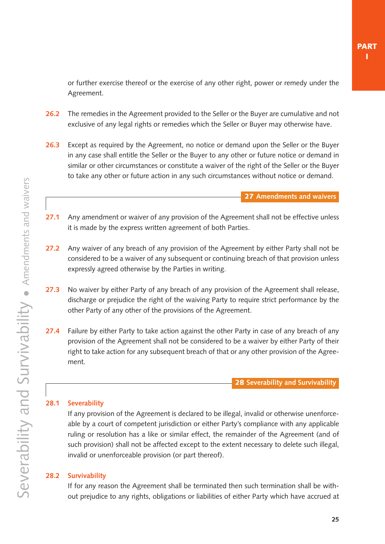<span id="page-24-0"></span>or further exercise thereof or the exercise of any other right, power or remedy under the Agreement.

- **26.2** The remedies in the Agreement provided to the Seller or the Buyer are cumulative and not exclusive of any legal rights or remedies which the Seller or Buyer may otherwise have.
- **26.3** Except as required by the Agreement, no notice or demand upon the Seller or the Buyer in any case shall entitle the Seller or the Buyer to any other or future notice or demand in similar or other circumstances or constitute a waiver of the right of the Seller or the Buyer to take any other or future action in any such circumstances without notice or demand.

27 **Amendments and waivers**

- **27.1** Any amendment or waiver of any provision of the Agreement shall not be effective unless it is made by the express written agreement of both Parties.
- **27.2** Any waiver of any breach of any provision of the Agreement by either Party shall not be considered to be a waiver of any subsequent or continuing breach of that provision unless expressly agreed otherwise by the Parties in writing.
- **27.3** No waiver by either Party of any breach of any provision of the Agreement shall release, discharge or prejudice the right of the waiving Party to require strict performance by the other Party of any other of the provisions of the Agreement.
- **27.4** Failure by either Party to take action against the other Party in case of any breach of any provision of the Agreement shall not be considered to be a waiver by either Party of their right to take action for any subsequent breach of that or any other provision of the Agreement.

28 **Severability and Survivability**

#### **28.1 Severability**

If any provision of the Agreement is declared to be illegal, invalid or otherwise unenforceable by a court of competent jurisdiction or either Party's compliance with any applicable ruling or resolution has a like or similar effect, the remainder of the Agreement (and of such provision) shall not be affected except to the extent necessary to delete such illegal, invalid or unenforceable provision (or part thereof).

#### **28.2 Survivability**

If for any reason the Agreement shall be terminated then such termination shall be without prejudice to any rights, obligations or liabilities of either Party which have accrued at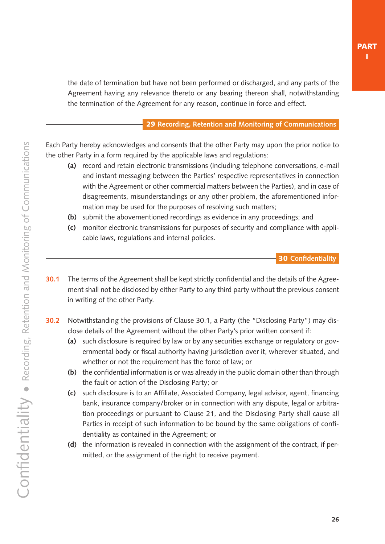<span id="page-25-0"></span>the date of termination but have not been performed or discharged, and any parts of the Agreement having any relevance thereto or any bearing thereon shall, notwithstanding the termination of the Agreement for any reason, continue in force and effect.

#### 29 **Recording, Retention and Monitoring of Communications**

Each Party hereby acknowledges and consents that the other Party may upon the prior notice to the other Party in a form required by the applicable laws and regulations:

- **(a)** record and retain electronic transmissions (including telephone conversations, e-mail and instant messaging between the Parties' respective representatives in connection with the Agreement or other commercial matters between the Parties), and in case of disagreements, misunderstandings or any other problem, the aforementioned information may be used for the purposes of resolving such matters;
- **(b)** submit the abovementioned recordings as evidence in any proceedings; and
- **(c)** monitor electronic transmissions for purposes of security and compliance with applicable laws, regulations and internal policies.

#### 30 **Confidentiality**

- **30.1** The terms of the Agreement shall be kept strictly confidential and the details of the Agreement shall not be disclosed by either Party to any third party without the previous consent in writing of the other Party.
- **30.2** Notwithstanding the provisions of Clause 30.1, a Party (the "Disclosing Party") may disclose details of the Agreement without the other Party's prior written consent if:
	- **(a)** such disclosure is required by law or by any securities exchange or regulatory or governmental body or fiscal authority having jurisdiction over it, wherever situated, and whether or not the requirement has the force of law; or
	- **(b)** the confidential information is or was already in the public domain other than through the fault or action of the Disclosing Party; or
	- **(c)** such disclosure is to an Affiliate, Associated Company, legal advisor, agent, financing bank, insurance company/broker or in connection with any dispute, legal or arbitration proceedings or pursuant to [Clause 21,](#page-22-0) and the Disclosing Party shall cause all Parties in receipt of such information to be bound by the same obligations of confidentiality as contained in the Agreement; or
	- **(d)** the information is revealed in connection with the assignment of the contract, if permitted, or the assignment of the right to receive payment.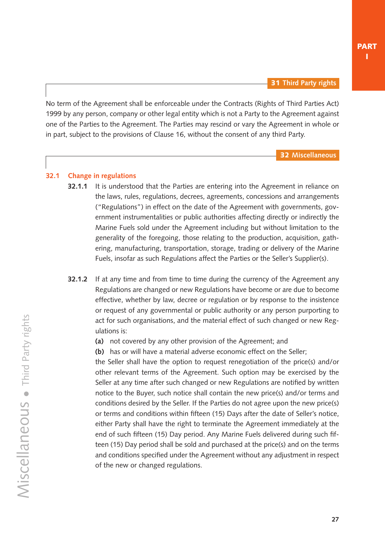<span id="page-26-0"></span>No term of the Agreement shall be enforceable under the Contracts (Rights of Third Parties Act) 1999 by any person, company or other legal entity which is not a Party to the Agreement against one of the Parties to the Agreement. The Parties may rescind or vary the Agreement in whole or in part, subject to the provisions of [Clause 16,](#page-17-0) without the consent of any third Party.

32 **Miscellaneous**

#### **32.1 Change in regulations**

- **32.1.1** It is understood that the Parties are entering into the Agreement in reliance on the laws, rules, regulations, decrees, agreements, concessions and arrangements ("Regulations") in effect on the date of the Agreement with governments, government instrumentalities or public authorities affecting directly or indirectly the Marine Fuels sold under the Agreement including but without limitation to the generality of the foregoing, those relating to the production, acquisition, gathering, manufacturing, transportation, storage, trading or delivery of the Marine Fuels, insofar as such Regulations affect the Parties or the Seller's Supplier(s).
- **32.1.2** If at any time and from time to time during the currency of the Agreement any Regulations are changed or new Regulations have become or are due to become effective, whether by law, decree or regulation or by response to the insistence or request of any governmental or public authority or any person purporting to act for such organisations, and the material effect of such changed or new Regulations is:
	- **(a)** not covered by any other provision of the Agreement; and
	- **(b)** has or will have a material adverse economic effect on the Seller;

the Seller shall have the option to request renegotiation of the price(s) and/or other relevant terms of the Agreement. Such option may be exercised by the Seller at any time after such changed or new Regulations are notified by written notice to the Buyer, such notice shall contain the new price(s) and/or terms and conditions desired by the Seller. If the Parties do not agree upon the new price(s) or terms and conditions within fifteen (15) Days after the date of Seller's notice, either Party shall have the right to terminate the Agreement immediately at the end of such fifteen (15) Day period. Any Marine Fuels delivered during such fifteen (15) Day period shall be sold and purchased at the price(s) and on the terms and conditions specified under the Agreement without any adjustment in respect of the new or changed regulations.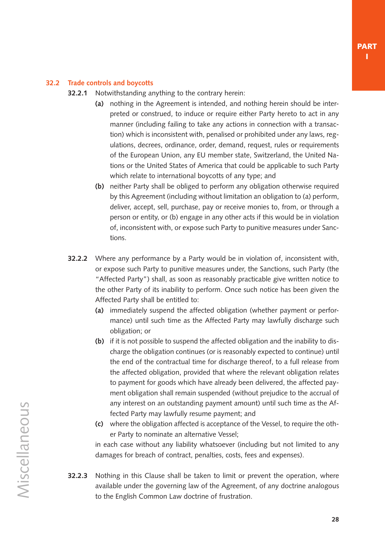#### **32.2 Trade controls and boycotts**

- **32.2.1** Notwithstanding anything to the contrary herein:
	- **(a)** nothing in the Agreement is intended, and nothing herein should be interpreted or construed, to induce or require either Party hereto to act in any manner (including failing to take any actions in connection with a transaction) which is inconsistent with, penalised or prohibited under any laws, regulations, decrees, ordinance, order, demand, request, rules or requirements of the European Union, any EU member state, Switzerland, the United Nations or the United States of America that could be applicable to such Party which relate to international boycotts of any type; and
	- **(b)** neither Party shall be obliged to perform any obligation otherwise required by this Agreement (including without limitation an obligation to (a) perform, deliver, accept, sell, purchase, pay or receive monies to, from, or through a person or entity, or (b) engage in any other acts if this would be in violation of, inconsistent with, or expose such Party to punitive measures under Sanctions.
- **32.2.2** Where any performance by a Party would be in violation of, inconsistent with, or expose such Party to punitive measures under, the Sanctions, such Party (the "Affected Party") shall, as soon as reasonably practicable give written notice to the other Party of its inability to perform. Once such notice has been given the Affected Party shall be entitled to:
	- **(a)** immediately suspend the affected obligation (whether payment or performance) until such time as the Affected Party may lawfully discharge such obligation; or
	- **(b)** if it is not possible to suspend the affected obligation and the inability to discharge the obligation continues (or is reasonably expected to continue) until the end of the contractual time for discharge thereof, to a full release from the affected obligation, provided that where the relevant obligation relates to payment for goods which have already been delivered, the affected payment obligation shall remain suspended (without prejudice to the accrual of any interest on an outstanding payment amount) until such time as the Affected Party may lawfully resume payment; and
	- **(c)** where the obligation affected is acceptance of the Vessel, to require the other Party to nominate an alternative Vessel;

in each case without any liability whatsoever (including but not limited to any damages for breach of contract, penalties, costs, fees and expenses).

**32.2.3** Nothing in this Clause shall be taken to limit or prevent the operation, where available under the governing law of the Agreement, of any doctrine analogous to the English Common Law doctrine of frustration.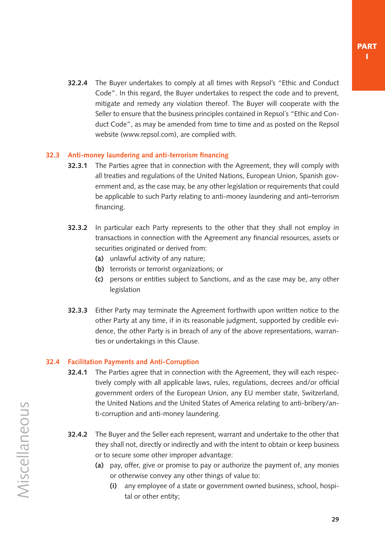**32.2.4** The Buyer undertakes to comply at all times with Repsol's "Ethic and Conduct Code". In this regard, the Buyer undertakes to respect the code and to prevent, mitigate and remedy any violation thereof. The Buyer will cooperate with the Seller to ensure that the business principles contained in Repsol´s "Ethic and Conduct Code", as may be amended from time to time and as posted on the Repsol website ([www.repsol.com](https://www.repsol.energy/es/)), are complied with.

#### **32.3 Anti-money laundering and anti-terrorism financing**

- **32.3.1** The Parties agree that in connection with the Agreement, they will comply with all treaties and regulations of the United Nations, European Union, Spanish government and, as the case may, be any other legislation or requirements that could be applicable to such Party relating to anti-money laundering and anti–terrorism financing.
- **32.3.2** In particular each Party represents to the other that they shall not employ in transactions in connection with the Agreement any financial resources, assets or securities originated or derived from:
	- **(a)** unlawful activity of any nature;
	- **(b)** terrorists or terrorist organizations; or
	- **(c)** persons or entities subject to Sanctions, and as the case may be, any other legislation
- **32.3.3** Either Party may terminate the Agreement forthwith upon written notice to the other Party at any time, if in its reasonable judgment, supported by credible evidence, the other Party is in breach of any of the above representations, warranties or undertakings in this Clause.

#### **32.4 Facilitation Payments and Anti-Corruption**

- **32.4.1** The Parties agree that in connection with the Agreement, they will each respectively comply with all applicable laws, rules, regulations, decrees and/or official government orders of the European Union, any EU member state, Switzerland, the United Nations and the United States of America relating to anti-bribery/anti-corruption and anti-money laundering.
- **32.4.2** The Buyer and the Seller each represent, warrant and undertake to the other that they shall not, directly or indirectly and with the intent to obtain or keep business or to secure some other improper advantage:
	- **(a)** pay, offer, give or promise to pay or authorize the payment of, any monies or otherwise convey any other things of value to:
		- **(i)** any employee of a state or government owned business, school, hospital or other entity;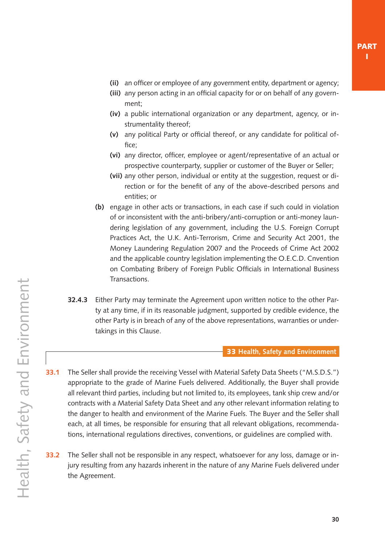- <span id="page-29-0"></span>**(ii)** an officer or employee of any government entity, department or agency;
- **(iii)** any person acting in an official capacity for or on behalf of any government;
- **(iv)** a public international organization or any department, agency, or instrumentality thereof;
- **(v)** any political Party or official thereof, or any candidate for political office;
- **(vi)** any director, officer, employee or agent/representative of an actual or prospective counterparty, supplier or customer of the Buyer or Seller;
- **(vii)** any other person, individual or entity at the suggestion, request or direction or for the benefit of any of the above-described persons and entities; or
- **(b)** engage in other acts or transactions, in each case if such could in violation of or inconsistent with the anti-bribery/anti-corruption or anti-money laundering legislation of any government, including the U.S. Foreign Corrupt Practices Act, the U.K. Anti-Terrorism, Crime and Security Act 2001, the Money Laundering Regulation 2007 and the Proceeds of Crime Act 2002 and the applicable country legislation implementing the O.E.C.D. Cnvention on Combating Bribery of Foreign Public Officials in International Business Transactions.
- **32.4.3** Either Party may terminate the Agreement upon written notice to the other Party at any time, if in its reasonable judgment, supported by credible evidence, the other Party is in breach of any of the above representations, warranties or undertakings in this Clause.

#### 33 **Health, Safety and Environment**

- **33.1** The Seller shall provide the receiving Vessel with Material Safety Data Sheets ("M.S.D.S.") appropriate to the grade of Marine Fuels delivered. Additionally, the Buyer shall provide all relevant third parties, including but not limited to, its employees, tank ship crew and/or contracts with a Material Safety Data Sheet and any other relevant information relating to the danger to health and environment of the Marine Fuels. The Buyer and the Seller shall each, at all times, be responsible for ensuring that all relevant obligations, recommendations, international regulations directives, conventions, or guidelines are complied with.
- **33.2** The Seller shall not be responsible in any respect, whatsoever for any loss, damage or injury resulting from any hazards inherent in the nature of any Marine Fuels delivered under the Agreement.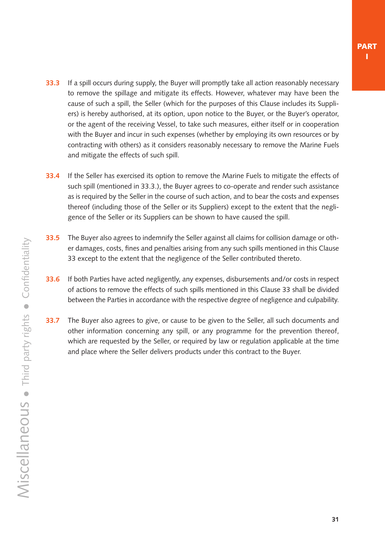- **33.3** If a spill occurs during supply, the Buyer will promptly take all action reasonably necessary to remove the spillage and mitigate its effects. However, whatever may have been the cause of such a spill, the Seller (which for the purposes of this Clause includes its Suppliers) is hereby authorised, at its option, upon notice to the Buyer, or the Buyer's operator, or the agent of the receiving Vessel, to take such measures, either itself or in cooperation with the Buyer and incur in such expenses (whether by employing its own resources or by contracting with others) as it considers reasonably necessary to remove the Marine Fuels and mitigate the effects of such spill.
- **33.4** If the Seller has exercised its option to remove the Marine Fuels to mitigate the effects of such spill (mentioned in 33.3.), the Buyer agrees to co-operate and render such assistance as is required by the Seller in the course of such action, and to bear the costs and expenses thereof (including those of the Seller or its Suppliers) except to the extent that the negligence of the Seller or its Suppliers can be shown to have caused the spill.
- **33.5** The Buyer also agrees to indemnify the Seller against all claims for collision damage or other damages, costs, fines and penalties arising from any such spills mentioned in this [Clause](#page-29-0) [33](#page-29-0) except to the extent that the negligence of the Seller contributed thereto.
- **33.6** If both Parties have acted negligently, any expenses, disbursements and/or costs in respect of actions to remove the effects of such spills mentioned in this [Clause 33](#page-29-0) shall be divided between the Parties in accordance with the respective degree of negligence and culpability.
- **33.7** The Buyer also agrees to give, or cause to be given to the Seller, all such documents and other information concerning any spill, or any programme for the prevention thereof, which are requested by the Seller, or required by law or regulation applicable at the time and place where the Seller delivers products under this contract to the Buyer.